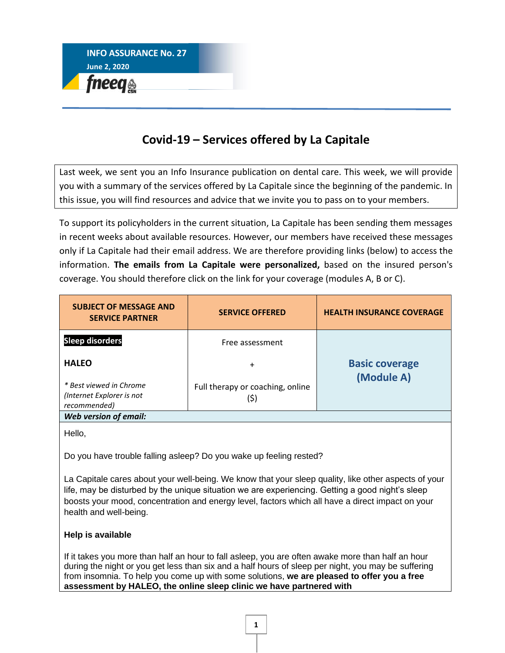

## **Covid-19 – Services offered by La Capitale**

Last week, we sent you an Info Insurance publication on dental care. This week, we will provide you with a summary of the services offered by La Capitale since the beginning of the pandemic. In this issue, you will find resources and advice that we invite you to pass on to your members.

To support its policyholders in the current situation, La Capitale has been sending them messages in recent weeks about available resources. However, our members have received these messages only if La Capitale had their email address. We are therefore providing links (below) to access the information. **The emails from La Capitale were personalized,** based on the insured person's coverage. You should therefore click on the link for your coverage (modules A, B or C).

| <b>SUBJECT OF MESSAGE AND</b><br><b>SERVICE PARTNER</b>              | <b>SERVICE OFFERED</b>                   | <b>HEALTH INSURANCE COVERAGE</b>    |
|----------------------------------------------------------------------|------------------------------------------|-------------------------------------|
| <b>Sleep disorders</b>                                               | Free assessment                          |                                     |
| <b>HALEO</b>                                                         | $\ddot{}$                                | <b>Basic coverage</b><br>(Module A) |
| * Best viewed in Chrome<br>(Internet Explorer is not<br>recommended) | Full therapy or coaching, online<br>(\$) |                                     |
| Web version of email:                                                |                                          |                                     |

Hello,

Do you have trouble falling asleep? Do you wake up feeling rested?

La Capitale cares about your well-being. We know that your sleep quality, like other aspects of your life, may be disturbed by the unique situation we are experiencing. Getting a good night's sleep boosts your mood, concentration and energy level, factors which all have a direct impact on your health and well-being.

## **Help is available**

If it takes you more than half an hour to fall asleep, you are often awake more than half an hour during the night or you get less than six and a half hours of sleep per night, you may be suffering from insomnia. To help you come up with some solutions, **we are pleased to offer you a free assessment by HALEO, the online sleep clinic we have partnered with**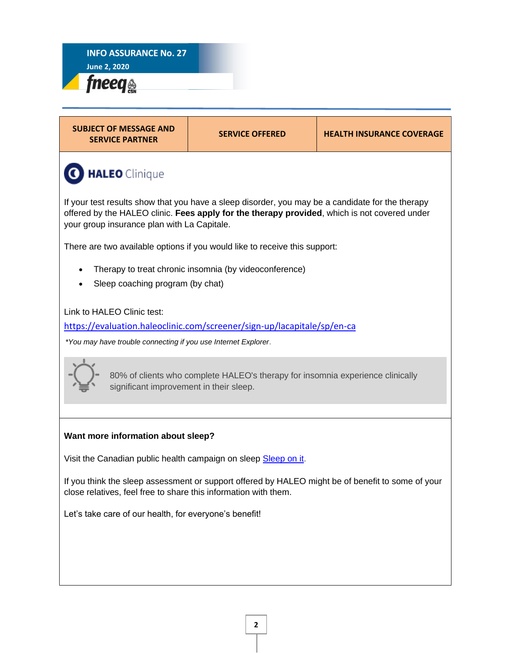



| <b>SUBJECT OF MESSAGE AND</b><br><b>SERVICE PARTNER</b>                                                                                                                                                                                         | <b>SERVICE OFFERED</b>                                                     | <b>HEALTH INSURANCE COVERAGE</b> |
|-------------------------------------------------------------------------------------------------------------------------------------------------------------------------------------------------------------------------------------------------|----------------------------------------------------------------------------|----------------------------------|
| <b>HALEO</b> Clinique                                                                                                                                                                                                                           |                                                                            |                                  |
| If your test results show that you have a sleep disorder, you may be a candidate for the therapy<br>offered by the HALEO clinic. Fees apply for the therapy provided, which is not covered under<br>your group insurance plan with La Capitale. |                                                                            |                                  |
|                                                                                                                                                                                                                                                 | There are two available options if you would like to receive this support: |                                  |
| Sleep coaching program (by chat)                                                                                                                                                                                                                | Therapy to treat chronic insomnia (by videoconference)                     |                                  |
| Link to HALEO Clinic test:                                                                                                                                                                                                                      |                                                                            |                                  |
| https://evaluation.haleoclinic.com/screener/sign-up/lacapitale/sp/en-ca                                                                                                                                                                         |                                                                            |                                  |
| *You may have trouble connecting if you use Internet Explorer.                                                                                                                                                                                  |                                                                            |                                  |
| 80% of clients who complete HALEO's therapy for insomnia experience clinically<br>significant improvement in their sleep.                                                                                                                       |                                                                            |                                  |
|                                                                                                                                                                                                                                                 |                                                                            |                                  |
| Want more information about sleep?                                                                                                                                                                                                              |                                                                            |                                  |
| Visit the Canadian public health campaign on sleep Sleep on it.                                                                                                                                                                                 |                                                                            |                                  |
| If you think the sleep assessment or support offered by HALEO might be of benefit to some of your<br>close relatives, feel free to share this information with them.                                                                            |                                                                            |                                  |
| Let's take care of our health, for everyone's benefit!                                                                                                                                                                                          |                                                                            |                                  |
|                                                                                                                                                                                                                                                 |                                                                            |                                  |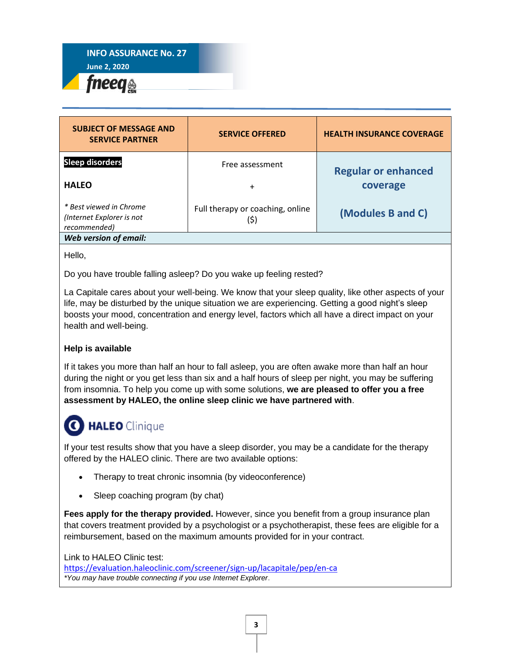

| <b>SUBJECT OF MESSAGE AND</b><br><b>SERVICE PARTNER</b>              | <b>SERVICE OFFERED</b>                   | <b>HEALTH INSURANCE COVERAGE</b> |
|----------------------------------------------------------------------|------------------------------------------|----------------------------------|
| <b>Sleep disorders</b>                                               | Free assessment                          | <b>Regular or enhanced</b>       |
| <b>HALEO</b>                                                         | $\ddot{}$                                | coverage                         |
| * Best viewed in Chrome<br>(Internet Explorer is not<br>recommended) | Full therapy or coaching, online<br>(\$) | (Modules B and C)                |
| Web version of email:                                                |                                          |                                  |

Hello,

Do you have trouble falling asleep? Do you wake up feeling rested?

La Capitale cares about your well-being. We know that your sleep quality, like other aspects of your life, may be disturbed by the unique situation we are experiencing. Getting a good night's sleep boosts your mood, concentration and energy level, factors which all have a direct impact on your health and well-being.

#### **Help is available**

If it takes you more than half an hour to fall asleep, you are often awake more than half an hour during the night or you get less than six and a half hours of sleep per night, you may be suffering from insomnia. To help you come up with some solutions, **we are pleased to offer you a free assessment by HALEO, the online sleep clinic we have partnered with**.

# C HALEO Clinique

If your test results show that you have a sleep disorder, you may be a candidate for the therapy offered by the HALEO clinic. There are two available options:

- Therapy to treat chronic insomnia (by videoconference)
- Sleep coaching program (by chat)

**Fees apply for the therapy provided.** However, since you benefit from a group insurance plan that covers treatment provided by a psychologist or a psychotherapist, these fees are eligible for a reimbursement, based on the maximum amounts provided for in your contract.

Link to HALEO Clinic test: <https://evaluation.haleoclinic.com/screener/sign-up/lacapitale/pep/en-ca> *\*You may have trouble connecting if you use Internet Explorer*.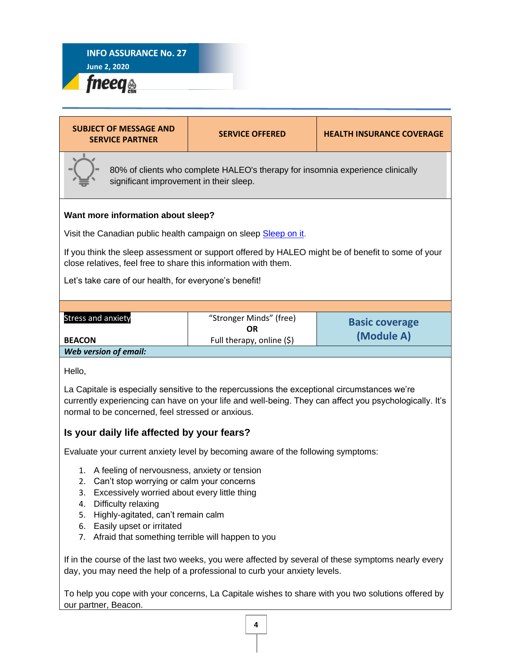**June 2, 2020** fneeq<sub>®</sub>



day, you may need the help of a professional to curb your anxiety levels.

To help you cope with your concerns, La Capitale wishes to share with you two solutions offered by our partner, Beacon.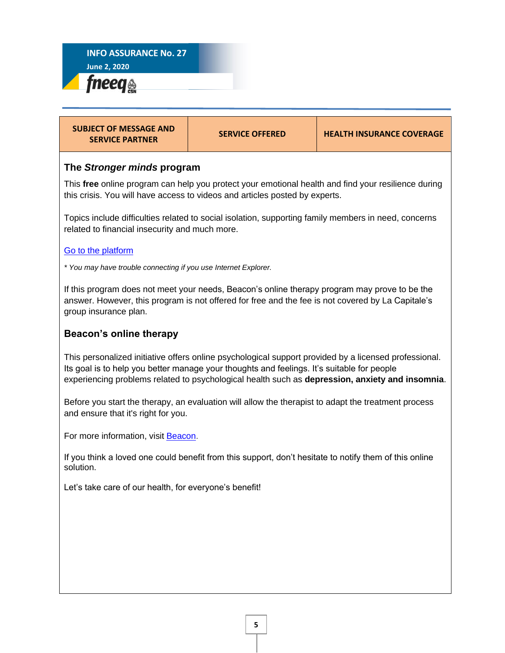| <b>SUBJECT OF MESSAGE AND</b><br><b>SERVICE PARTNER</b>                                                                                                                                                                                                                                                | <b>SERVICE OFFERED</b>                                                                              | <b>HEALTH INSURANCE COVERAGE</b> |
|--------------------------------------------------------------------------------------------------------------------------------------------------------------------------------------------------------------------------------------------------------------------------------------------------------|-----------------------------------------------------------------------------------------------------|----------------------------------|
| The Stronger minds program                                                                                                                                                                                                                                                                             |                                                                                                     |                                  |
| This free online program can help you protect your emotional health and find your resilience during<br>this crisis. You will have access to videos and articles posted by experts.                                                                                                                     |                                                                                                     |                                  |
| Topics include difficulties related to social isolation, supporting family members in need, concerns<br>related to financial insecurity and much more.                                                                                                                                                 |                                                                                                     |                                  |
| Go to the platform                                                                                                                                                                                                                                                                                     |                                                                                                     |                                  |
| * You may have trouble connecting if you use Internet Explorer.                                                                                                                                                                                                                                        |                                                                                                     |                                  |
| If this program does not meet your needs, Beacon's online therapy program may prove to be the<br>answer. However, this program is not offered for free and the fee is not covered by La Capitale's<br>group insurance plan.                                                                            |                                                                                                     |                                  |
| Beacon's online therapy                                                                                                                                                                                                                                                                                |                                                                                                     |                                  |
| This personalized initiative offers online psychological support provided by a licensed professional.<br>Its goal is to help you better manage your thoughts and feelings. It's suitable for people<br>experiencing problems related to psychological health such as depression, anxiety and insomnia. |                                                                                                     |                                  |
| and ensure that it's right for you.                                                                                                                                                                                                                                                                    | Before you start the therapy, an evaluation will allow the therapist to adapt the treatment process |                                  |

For more information, visit **Beacon**.

If you think a loved one could benefit from this support, don't hesitate to notify them of this online solution.

Let's take care of our health, for everyone's benefit!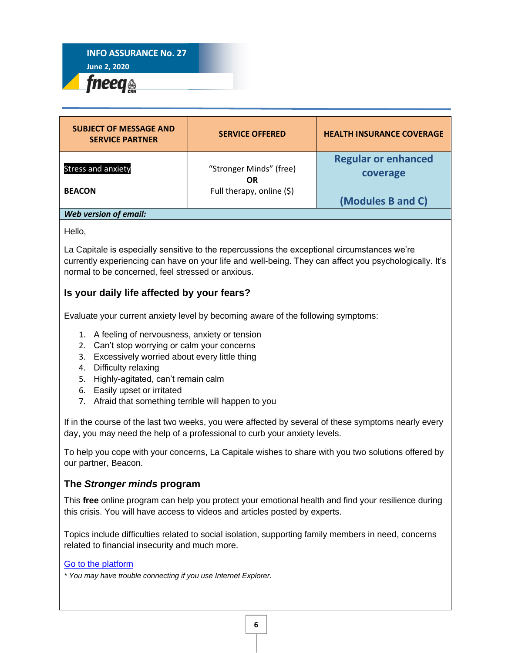

| <b>SUBJECT OF MESSAGE AND</b><br><b>SERVICE PARTNER</b> | <b>SERVICE OFFERED</b>        | <b>HEALTH INSURANCE COVERAGE</b>       |
|---------------------------------------------------------|-------------------------------|----------------------------------------|
| <b>Stress and anxiety</b>                               | "Stronger Minds" (free)<br>OR | <b>Regular or enhanced</b><br>coverage |
| <b>BEACON</b>                                           | Full therapy, online (\$)     | (Modules B and C)                      |
| Web version of email:                                   |                               |                                        |

## Hello,

La Capitale is especially sensitive to the repercussions the exceptional circumstances we're currently experiencing can have on your life and well-being. They can affect you psychologically. It's normal to be concerned, feel stressed or anxious.

## **Is your daily life affected by your fears?**

Evaluate your current anxiety level by becoming aware of the following symptoms:

- 1. A feeling of nervousness, anxiety or tension
- 2. Can't stop worrying or calm your concerns
- 3. Excessively worried about every little thing
- 4. Difficulty relaxing
- 5. Highly-agitated, can't remain calm
- 6. Easily upset or irritated
- 7. Afraid that something terrible will happen to you

If in the course of the last two weeks, you were affected by several of these symptoms nearly every day, you may need the help of a professional to curb your anxiety levels.

To help you cope with your concerns, La Capitale wishes to share with you two solutions offered by our partner, Beacon.

## **The** *Stronger minds* **program**

This **free** online program can help you protect your emotional health and find your resilience during this crisis. You will have access to videos and articles posted by experts.

Topics include difficulties related to social isolation, supporting family members in need, concerns related to financial insecurity and much more.

#### [Go to the platform](https://www.mindbeacon.com/strongerminds)

*\* You may have trouble connecting if you use Internet Explorer.*